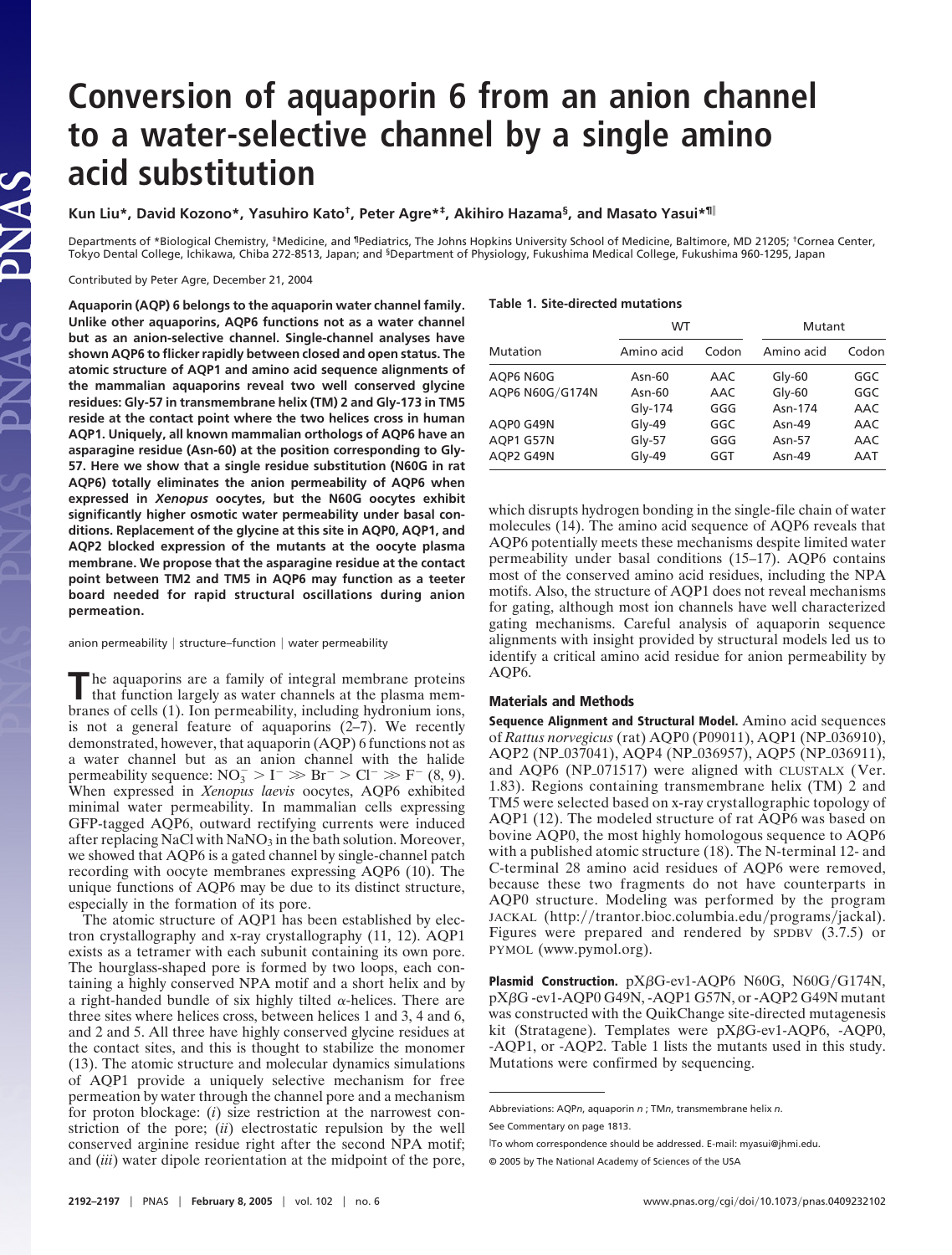# **Conversion of aquaporin 6 from an anion channel to a water-selective channel by a single amino acid substitution**

**Kun Liu\*, David Kozono\*, Yasuhiro Kato†, Peter Agre\*‡, Akihiro Hazama§, and Masato Yasui\*¶**

Departments of \*Biological Chemistry, ‡Medicine, and ¶Pediatrics, The Johns Hopkins University School of Medicine, Baltimore, MD 21205; †Cornea Center, Tokyo Dental College, Ichikawa, Chiba 272-8513, Japan; and <sup>§</sup>Department of Physiology, Fukushima Medical College, Fukushima 960-1295, Japan

Contributed by Peter Agre, December 21, 2004

**AS** 

 $\tilde{\mathbf{A}}$ 

**Aquaporin (AQP) 6 belongs to the aquaporin water channel family. Unlike other aquaporins, AQP6 functions not as a water channel but as an anion-selective channel. Single-channel analyses have shown AQP6 to flicker rapidly between closed and open status. The atomic structure of AQP1 and amino acid sequence alignments of the mammalian aquaporins reveal two well conserved glycine residues: Gly-57 in transmembrane helix (TM) 2 and Gly-173 in TM5 reside at the contact point where the two helices cross in human AQP1. Uniquely, all known mammalian orthologs of AQP6 have an asparagine residue (Asn-60) at the position corresponding to Gly-57. Here we show that a single residue substitution (N60G in rat AQP6) totally eliminates the anion permeability of AQP6 when expressed in** *Xenopus* **oocytes, but the N60G oocytes exhibit significantly higher osmotic water permeability under basal conditions. Replacement of the glycine at this site in AQP0, AQP1, and AQP2 blocked expression of the mutants at the oocyte plasma membrane. We propose that the asparagine residue at the contact point between TM2 and TM5 in AQP6 may function as a teeter board needed for rapid structural oscillations during anion permeation.**

anion permeability  $\mid$  structure–function  $\mid$  water permeability

The aquaporins are a family of integral membrane proteins that function largely as water channels at the plasma membranes of cells (1). Ion permeability, including hydronium ions, is not a general feature of aquaporins  $(2-7)$ . We recently demonstrated, however, that aquaporin (AQP) 6 functions not as a water channel but as an anion channel with the halide permeability sequence:  $NO_3^- > I^- \gg Br^- > Cl^- \gg F^- (8, 9)$ . When expressed in *Xenopus laevis* oocytes, AQP6 exhibited minimal water permeability. In mammalian cells expressing GFP-tagged AQP6, outward rectifying currents were induced after replacing NaCl with  $NaNO<sub>3</sub>$  in the bath solution. Moreover, we showed that AQP6 is a gated channel by single-channel patch recording with oocyte membranes expressing AQP6 (10). The unique functions of AQP6 may be due to its distinct structure, especially in the formation of its pore.

The atomic structure of AQP1 has been established by electron crystallography and x-ray crystallography (11, 12). AQP1 exists as a tetramer with each subunit containing its own pore. The hourglass-shaped pore is formed by two loops, each containing a highly conserved NPA motif and a short helix and by a right-handed bundle of six highly tilted  $\alpha$ -helices. There are three sites where helices cross, between helices 1 and 3, 4 and 6, and 2 and 5. All three have highly conserved glycine residues at the contact sites, and this is thought to stabilize the monomer (13). The atomic structure and molecular dynamics simulations of AQP1 provide a uniquely selective mechanism for free permeation by water through the channel pore and a mechanism for proton blockage: (*i*) size restriction at the narrowest constriction of the pore; (*ii*) electrostatic repulsion by the well conserved arginine residue right after the second NPA motif; and (*iii*) water dipole reorientation at the midpoint of the pore,

### **Table 1. Site-directed mutations**

| Mutation        | <b>WT</b>  |       | Mutant     |       |
|-----------------|------------|-------|------------|-------|
|                 | Amino acid | Codon | Amino acid | Codon |
| AQP6 N60G       | Asn-60     | AAC   | $G$ ly-60  | GGC   |
| AQP6 N60G/G174N | Asn-60     | AAC   | $G$ ly-60  | GGC   |
|                 | $Gly-174$  | GGG   | Asn-174    | AAC   |
| AQP0 G49N       | $Gly-49$   | GGC   | Asn-49     | AAC   |
| AQP1 G57N       | $Gly-57$   | GGG   | Asn-57     | AAC   |
| AOP2 G49N       | $Gly-49$   | GGT   | Asn-49     | AAT   |

which disrupts hydrogen bonding in the single-file chain of water molecules (14). The amino acid sequence of AQP6 reveals that AQP6 potentially meets these mechanisms despite limited water permeability under basal conditions (15–17). AQP6 contains most of the conserved amino acid residues, including the NPA motifs. Also, the structure of AQP1 does not reveal mechanisms for gating, although most ion channels have well characterized gating mechanisms. Careful analysis of aquaporin sequence alignments with insight provided by structural models led us to identify a critical amino acid residue for anion permeability by AQP6.

#### **Materials and Methods**

**Sequence Alignment and Structural Model.** Amino acid sequences of *Rattus norvegicus* (rat) AQP0 (P09011), AQP1 (NP<sub>-036910),</sub> AQP2 (NP\_037041), AQP4 (NP\_036957), AQP5 (NP\_036911), and AQP6 (NP $_0$ 71517) were aligned with CLUSTALX (Ver. 1.83). Regions containing transmembrane helix (TM) 2 and TM5 were selected based on x-ray crystallographic topology of AQP1 (12). The modeled structure of rat AQP6 was based on bovine AQP0, the most highly homologous sequence to AQP6 with a published atomic structure (18). The N-terminal 12- and C-terminal 28 amino acid residues of AQP6 were removed, because these two fragments do not have counterparts in AQP0 structure. Modeling was performed by the program JACKAL (http://trantor.bioc.columbia.edu/programs/jackal). Figures were prepared and rendered by SPDBV (3.7.5) or PYMOL (www.pymol.org).

**Plasmid Construction.**  $pX\beta G$ -ev1-AQP6 N60G, N60G/G174N, pXβG -ev1-AQP0 G49N, -AQP1 G57N, or -AQP2 G49N mutant was constructed with the QuikChange site-directed mutagenesis kit (Stratagene). Templates were pXβG-ev1-AQP6, -AQP0, -AQP1, or -AQP2. Table 1 lists the mutants used in this study. Mutations were confirmed by sequencing.

Abbreviations: AQP*n*, aquaporin *n* ; TM*n*, transmembrane helix *n*.

See Commentary on page 1813.

To whom correspondence should be addressed. E-mail: myasui@jhmi.edu.

<sup>© 2005</sup> by The National Academy of Sciences of the USA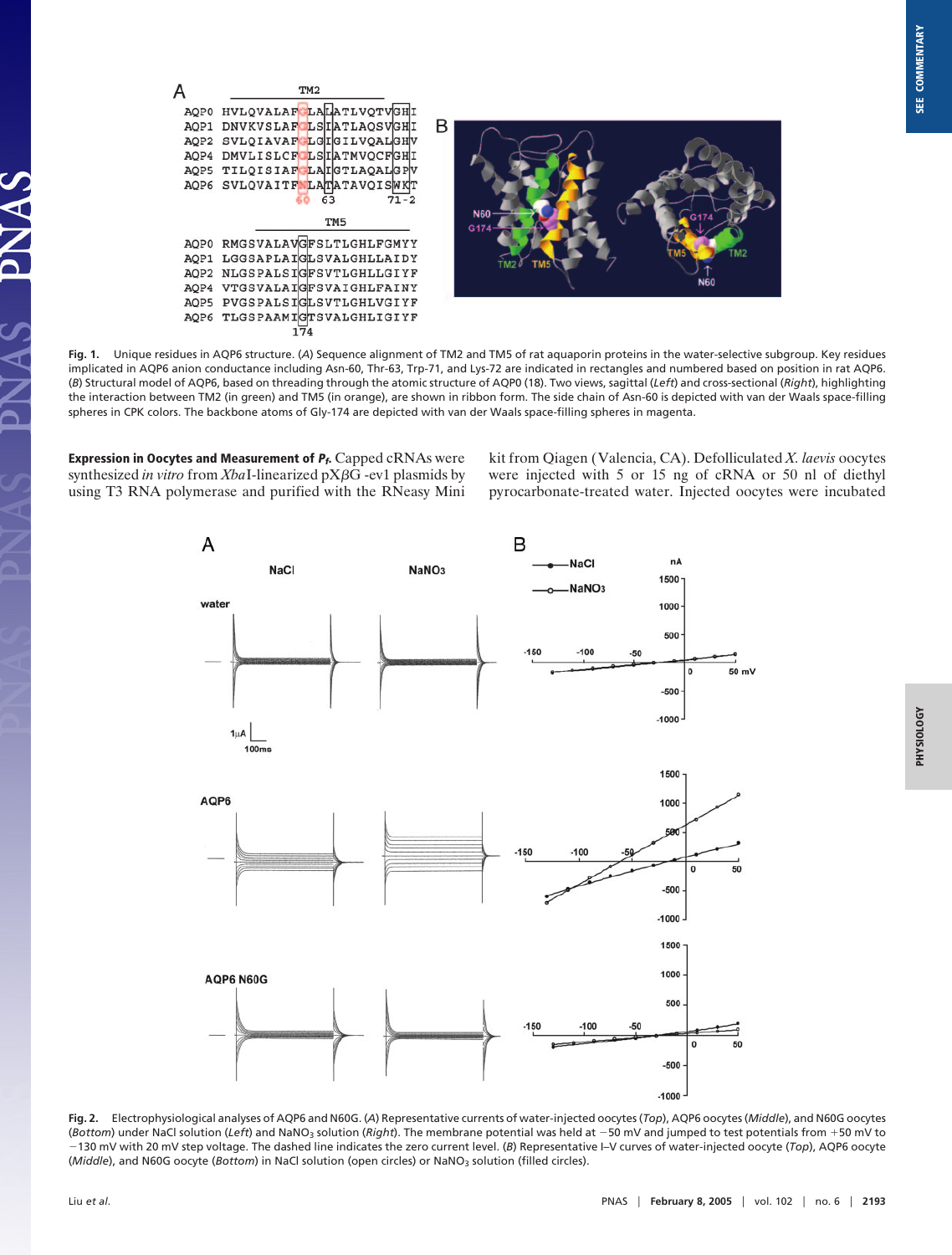

**Fig. 1.** Unique residues in AQP6 structure. (*A*) Sequence alignment of TM2 and TM5 of rat aquaporin proteins in the water-selective subgroup. Key residues implicated in AQP6 anion conductance including Asn-60, Thr-63, Trp-71, and Lys-72 are indicated in rectangles and numbered based on position in rat AQP6. (*B*) Structural model of AQP6, based on threading through the atomic structure of AQP0 (18). Two views, sagittal (*Left*) and cross-sectional (*Right*), highlighting the interaction between TM2 (in green) and TM5 (in orange), are shown in ribbon form. The side chain of Asn-60 is depicted with van der Waals space-filling spheres in CPK colors. The backbone atoms of Gly-174 are depicted with van der Waals space-filling spheres in magenta.

**Expression in Oocytes and Measurement of <sup>P</sup>f.** Capped cRNAs were synthesized *in vitro* from *Xba*I-linearized pX-G -ev1 plasmids by using T3 RNA polymerase and purified with the RNeasy Mini kit from Qiagen (Valencia, CA). Defolliculated *X. laevis* oocytes were injected with 5 or 15 ng of cRNA or 50 nl of diethyl pyrocarbonate-treated water. Injected oocytes were incubated



**Fig. 2.** Electrophysiological analyses of AQP6 and N60G. (*A*) Representative currents of water-injected oocytes (*Top*), AQP6 oocytes (*Middle*), and N60G oocytes (*Bottom*) under NaCl solution (*Left*) and NaNO<sub>3</sub> solution (*Right*). The membrane potential was held at -50 mV and jumped to test potentials from +50 mV to 130 mV with 20 mV step voltage. The dashed line indicates the zero current level. (*B*) Representative I–V curves of water-injected oocyte (*Top*), AQP6 oocyte (*Middle*), and N60G oocyte (*Bottom*) in NaCl solution (open circles) or NaNO<sub>3</sub> solution (filled circles).

AS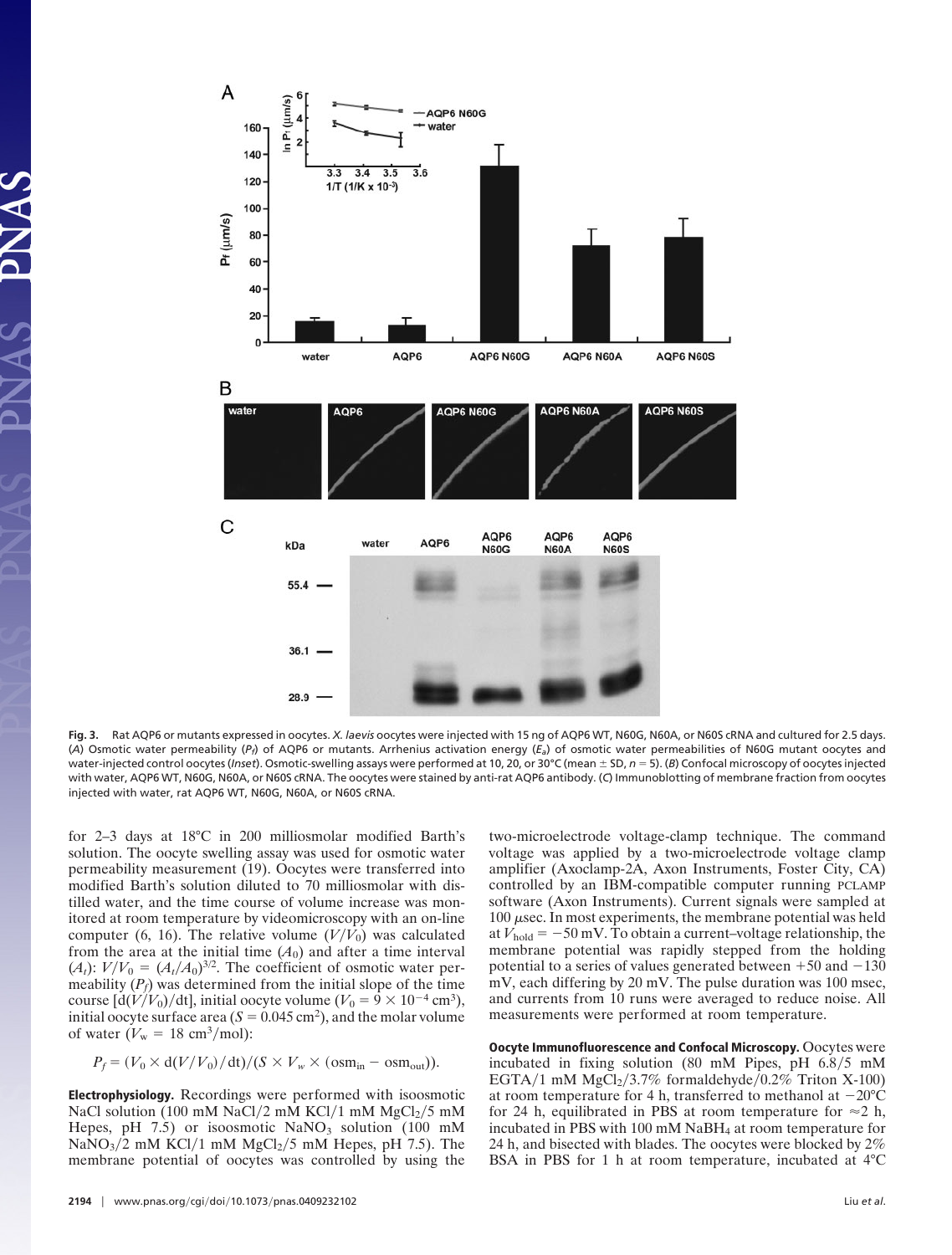

**Fig. 3.** Rat AQP6 or mutants expressed in oocytes. *X. laevis* oocytes were injected with 15 ng of AQP6 WT, N60G, N60A, or N60S cRNA and cultured for 2.5 days. (*A*) Osmotic water permeability (*Pf*) of AQP6 or mutants. Arrhenius activation energy (*Ea*) of osmotic water permeabilities of N60G mutant oocytes and water-injected control oocytes (Inset). Osmotic-swelling assays were performed at 10, 20, or 30°C (mean  $\pm$  SD,  $n = 5$ ). (*B*) Confocal microscopy of oocytes injected with water, AQP6 WT, N60G, N60A, or N60S cRNA. The oocytes were stained by anti-rat AQP6 antibody. (*C*) Immunoblotting of membrane fraction from oocytes injected with water, rat AQP6 WT, N60G, N60A, or N60S cRNA.

for 2–3 days at 18°C in 200 milliosmolar modified Barth's solution. The oocyte swelling assay was used for osmotic water permeability measurement (19). Oocytes were transferred into modified Barth's solution diluted to 70 milliosmolar with distilled water, and the time course of volume increase was monitored at room temperature by videomicroscopy with an on-line computer (6, 16). The relative volume  $(V/V_0)$  was calculated from the area at the initial time  $(A_0)$  and after a time interval  $(A_t): V/V_0 = (A_t/A_0)^{3/2}$ . The coefficient of osmotic water permeability  $(P_f)$  was determined from the initial slope of the time course  $\left[\frac{d(V/V_0)}{dt}\right]$ , initial oocyte volume  $(V_0 = 9 \times 10^{-4} \text{ cm}^3)$ , initial oocyte surface area  $(S = 0.045 \text{ cm}^2)$ , and the molar volume of water  $(V_w = 18 \text{ cm}^3/\text{mol})$ :

 $P_f = (V_0 \times d(V/V_0)/dt)/(S \times V_w \times (osm_{in} - osm_{out})).$ 

**Electrophysiology.** Recordings were performed with isoosmotic NaCl solution (100 mM NaCl/2 mM KCl/1 mM  $MgCl<sub>2</sub>/5$  mM Hepes, pH 7.5) or isoosmotic  $\text{NaNO}_3$  solution (100 mM  $\text{NaNO}_3/2$  mM KCl/1 mM  $\text{MgCl}_2/5$  mM Hepes, pH 7.5). The membrane potential of oocytes was controlled by using the two-microelectrode voltage-clamp technique. The command voltage was applied by a two-microelectrode voltage clamp amplifier (Axoclamp-2A, Axon Instruments, Foster City, CA) controlled by an IBM-compatible computer running PCLAMP software (Axon Instruments). Current signals were sampled at  $100 \mu$ sec. In most experiments, the membrane potential was held at  $V_{hold} = -50$  mV. To obtain a current–voltage relationship, the membrane potential was rapidly stepped from the holding potential to a series of values generated between  $+50$  and  $-130$ mV, each differing by 20 mV. The pulse duration was 100 msec, and currents from 10 runs were averaged to reduce noise. All measurements were performed at room temperature.

**Oocyte Immunofluorescence and Confocal Microscopy.** Oocytes were incubated in fixing solution (80 mM Pipes, pH  $6.8/5$  mM EGTA/1 mM  $MgCl<sub>2</sub>/3.7%$  formaldehyde/0.2% Triton X-100) at room temperature for 4 h, transferred to methanol at  $-20^{\circ}$ C for 24 h, equilibrated in PBS at room temperature for  $\approx$  2 h, incubated in PBS with 100 mM NaBH4 at room temperature for 24 h, and bisected with blades. The oocytes were blocked by 2% BSA in PBS for 1 h at room temperature, incubated at 4°C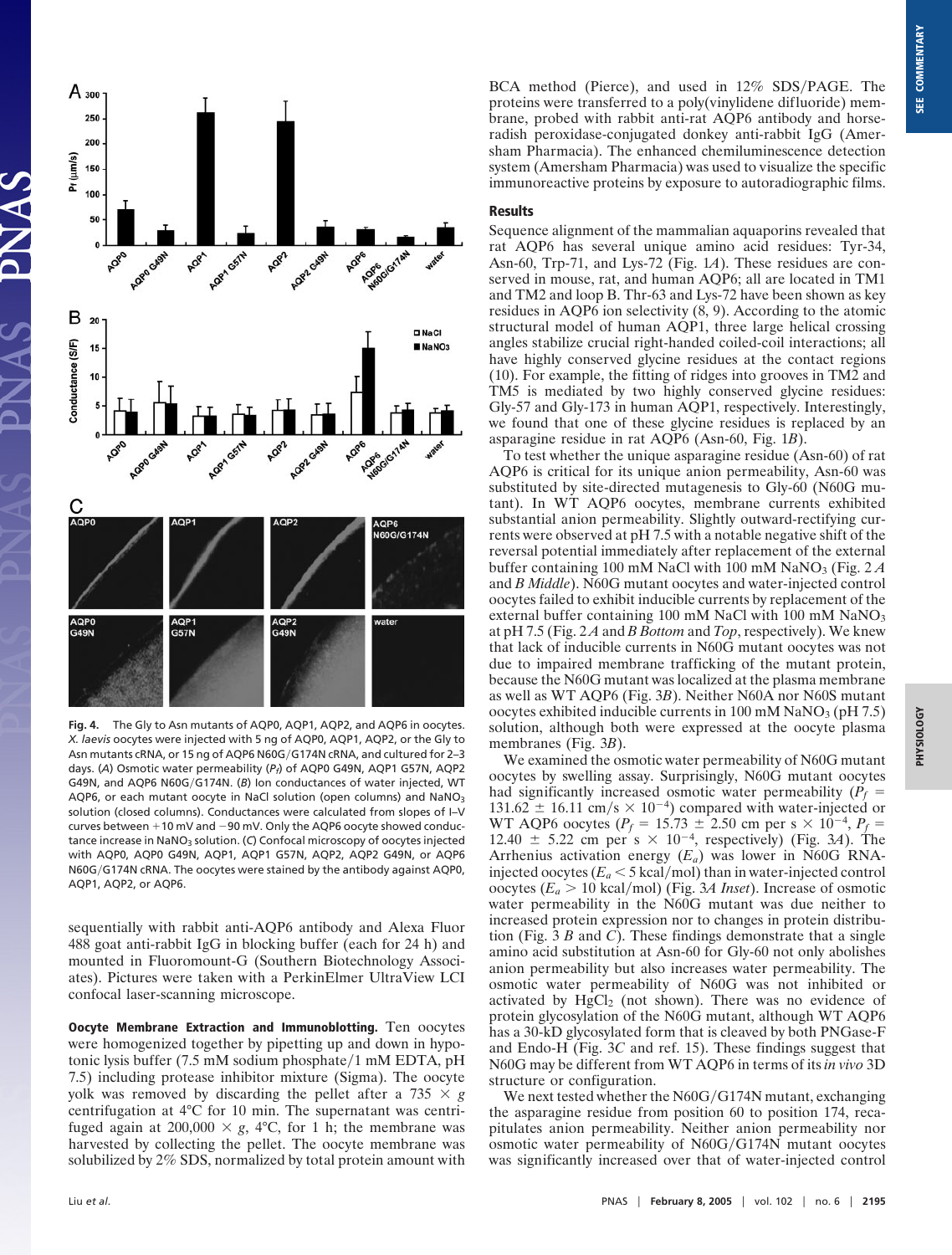

**Fig. 4.** The Gly to Asn mutants of AQP0, AQP1, AQP2, and AQP6 in oocytes. *X. laevis* oocytes were injected with 5 ng of AQP0, AQP1, AQP2, or the Gly to Asn mutants cRNA, or 15 ng of AQP6 N60G/G174N cRNA, and cultured for 2-3 days. (*A*) Osmotic water permeability (*Pf*) of AQP0 G49N, AQP1 G57N, AQP2 G49N, and AQP6 N60G/G174N. (B) Ion conductances of water injected, WT AQP6, or each mutant oocyte in NaCl solution (open columns) and NaNO<sub>3</sub> solution (closed columns). Conductances were calculated from slopes of I–V curves between  $+10$  mV and  $-90$  mV. Only the AQP6 oocyte showed conductance increase in NaNO<sub>3</sub> solution. (C) Confocal microscopy of oocytes injected with AQP0, AQP0 G49N, AQP1, AQP1 G57N, AQP2, AQP2 G49N, or AQP6 N60G/G174N cRNA. The oocytes were stained by the antibody against AQP0, AQP1, AQP2, or AQP6.

sequentially with rabbit anti-AQP6 antibody and Alexa Fluor 488 goat anti-rabbit IgG in blocking buffer (each for 24 h) and mounted in Fluoromount-G (Southern Biotechnology Associates). Pictures were taken with a PerkinElmer UltraView LCI confocal laser-scanning microscope.

**Oocyte Membrane Extraction and Immunoblotting.** Ten oocytes were homogenized together by pipetting up and down in hypotonic lysis buffer (7.5 mM sodium phosphate/1 mM EDTA, pH 7.5) including protease inhibitor mixture (Sigma). The oocyte yolk was removed by discarding the pellet after a  $735 \times g$ centrifugation at 4°C for 10 min. The supernatant was centrifuged again at 200,000  $\times$  g, 4°C, for 1 h; the membrane was harvested by collecting the pellet. The oocyte membrane was solubilized by 2% SDS, normalized by total protein amount with BCA method (Pierce), and used in 12% SDS/PAGE. The proteins were transferred to a poly(vinylidene difluoride) membrane, probed with rabbit anti-rat AQP6 antibody and horseradish peroxidase-conjugated donkey anti-rabbit IgG (Amersham Pharmacia). The enhanced chemiluminescence detection system (Amersham Pharmacia) was used to visualize the specific immunoreactive proteins by exposure to autoradiographic films.

## **Results**

Sequence alignment of the mammalian aquaporins revealed that rat AQP6 has several unique amino acid residues: Tyr-34, Asn-60, Trp-71, and Lys-72 (Fig. 1*A*). These residues are conserved in mouse, rat, and human AQP6; all are located in TM1 and TM2 and loop B. Thr-63 and Lys-72 have been shown as key residues in AQP6 ion selectivity (8, 9). According to the atomic structural model of human AQP1, three large helical crossing angles stabilize crucial right-handed coiled-coil interactions; all have highly conserved glycine residues at the contact regions (10). For example, the fitting of ridges into grooves in TM2 and TM5 is mediated by two highly conserved glycine residues: Gly-57 and Gly-173 in human AQP1, respectively. Interestingly, we found that one of these glycine residues is replaced by an asparagine residue in rat AQP6 (Asn-60, Fig. 1*B*).

To test whether the unique asparagine residue (Asn-60) of rat AQP6 is critical for its unique anion permeability, Asn-60 was substituted by site-directed mutagenesis to Gly-60 (N60G mutant). In WT AQP6 oocytes, membrane currents exhibited substantial anion permeability. Slightly outward-rectifying currents were observed at pH 7.5 with a notable negative shift of the reversal potential immediately after replacement of the external buffer containing 100 mM NaCl with 100 mM NaNO<sub>3</sub> (Fig. 2  $\AA$ and *B Middle*). N60G mutant oocytes and water-injected control oocytes failed to exhibit inducible currents by replacement of the external buffer containing 100 mM NaCl with 100 mM NaNO<sub>3</sub> at pH 7.5 (Fig. 2 *A* and *B Bottom* and *Top*, respectively). We knew that lack of inducible currents in N60G mutant oocytes was not due to impaired membrane trafficking of the mutant protein, because the N60G mutant was localized at the plasma membrane as well as WT AQP6 (Fig. 3*B*). Neither N60A nor N60S mutant oocytes exhibited inducible currents in  $100 \text{ mM }$  NaNO<sub>3</sub> (pH 7.5) solution, although both were expressed at the oocyte plasma membranes (Fig. 3*B*).

We examined the osmotic water permeability of N60G mutant oocytes by swelling assay. Surprisingly, N60G mutant oocytes had significantly increased osmotic water permeability  $(P_f =$  $131.62 \pm 16.11$  cm/s  $\times 10^{-4}$ ) compared with water-injected or WT AQP6 oocytes ( $P_f = 15.73 \pm 2.50$  cm per s  $\times 10^{-4}$ ,  $P_f =$ 12.40  $\pm$  5.22 cm per s  $\times$  10<sup>-4</sup>, respectively) (Fig. 3*A*). The Arrhenius activation energy (*Ea*) was lower in N60G RNAinjected oocytes ( $E_a < 5$  kcal/mol) than in water-injected control oocytes ( $E_a > 10$  kcal/mol) (Fig. 3*A Inset*). Increase of osmotic water permeability in the N60G mutant was due neither to increased protein expression nor to changes in protein distribution (Fig. 3 *B* and *C*). These findings demonstrate that a single amino acid substitution at Asn-60 for Gly-60 not only abolishes anion permeability but also increases water permeability. The osmotic water permeability of N60G was not inhibited or activated by  $HgCl<sub>2</sub>$  (not shown). There was no evidence of protein glycosylation of the N60G mutant, although WT AQP6 has a 30-kD glycosylated form that is cleaved by both PNGase-F and Endo-H (Fig. 3*C* and ref. 15). These findings suggest that N60G may be different from WT AQP6 in terms of its *in vivo* 3D structure or configuration.

We next tested whether the  $N60G/G174N$  mutant, exchanging the asparagine residue from position 60 to position 174, recapitulates anion permeability. Neither anion permeability nor osmotic water permeability of N60G/G174N mutant oocytes was significantly increased over that of water-injected control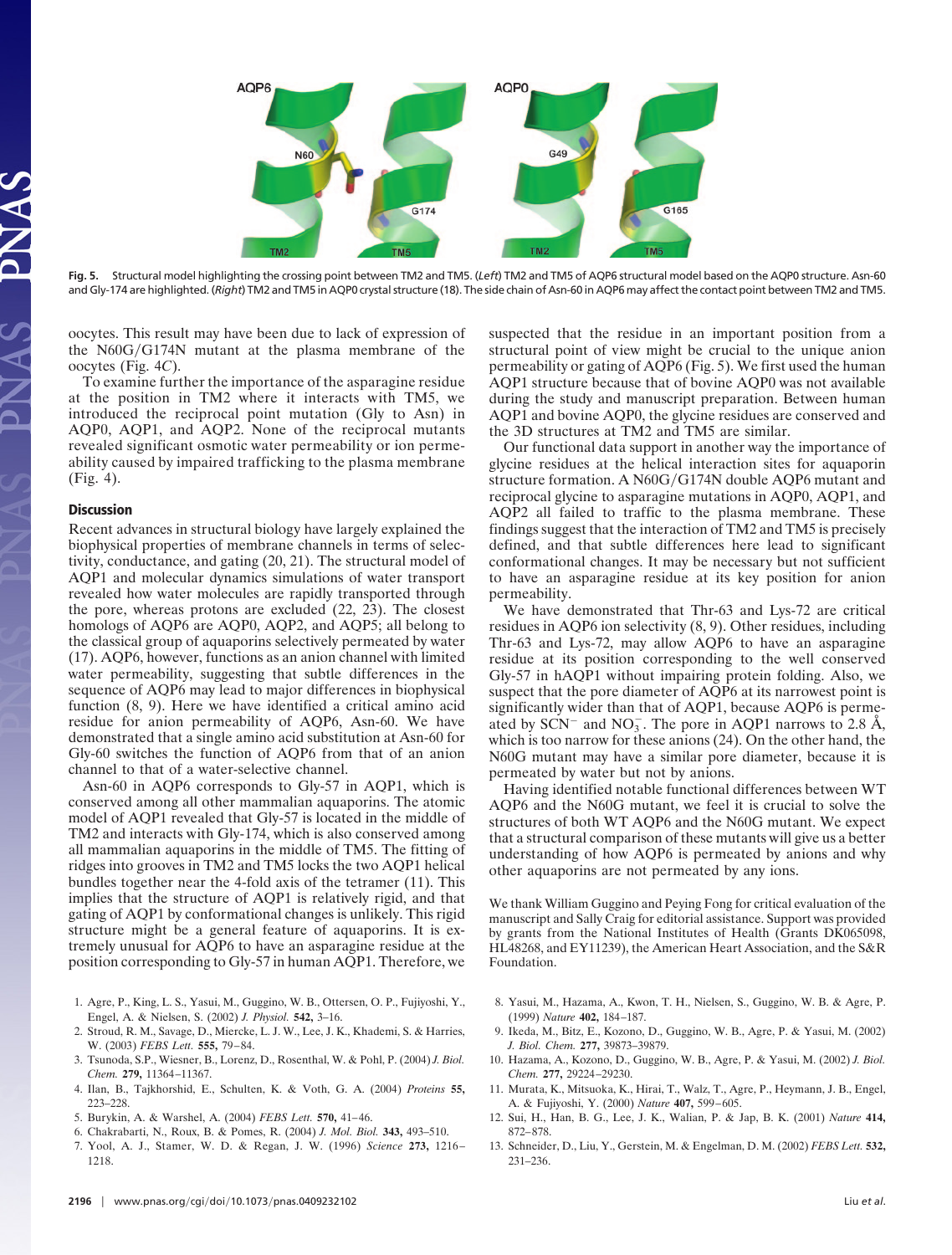

**Fig. 5.** Structural model highlighting the crossing point between TM2 and TM5. (*Left*) TM2 and TM5 of AQP6 structural model based on the AQP0 structure. Asn-60 and Gly-174 are highlighted. (*Right*) TM2 and TM5 in AQP0 crystal structure (18). The side chain of Asn-60 in AQP6 may affect the contact point between TM2 and TM5.

oocytes. This result may have been due to lack of expression of the  $N60G/G174N$  mutant at the plasma membrane of the oocytes (Fig. 4*C*).

To examine further the importance of the asparagine residue at the position in TM2 where it interacts with TM5, we introduced the reciprocal point mutation (Gly to Asn) in AQP0, AQP1, and AQP2. None of the reciprocal mutants revealed significant osmotic water permeability or ion permeability caused by impaired trafficking to the plasma membrane (Fig. 4).

#### **Discussion**

Recent advances in structural biology have largely explained the biophysical properties of membrane channels in terms of selectivity, conductance, and gating (20, 21). The structural model of AQP1 and molecular dynamics simulations of water transport revealed how water molecules are rapidly transported through the pore, whereas protons are excluded (22, 23). The closest homologs of AQP6 are AQP0, AQP2, and AQP5; all belong to the classical group of aquaporins selectively permeated by water (17). AQP6, however, functions as an anion channel with limited water permeability, suggesting that subtle differences in the sequence of AQP6 may lead to major differences in biophysical function (8, 9). Here we have identified a critical amino acid residue for anion permeability of AQP6, Asn-60. We have demonstrated that a single amino acid substitution at Asn-60 for Gly-60 switches the function of AQP6 from that of an anion channel to that of a water-selective channel.

Asn-60 in AQP6 corresponds to Gly-57 in AQP1, which is conserved among all other mammalian aquaporins. The atomic model of AQP1 revealed that Gly-57 is located in the middle of TM2 and interacts with Gly-174, which is also conserved among all mammalian aquaporins in the middle of TM5. The fitting of ridges into grooves in TM2 and TM5 locks the two AQP1 helical bundles together near the 4-fold axis of the tetramer (11). This implies that the structure of AQP1 is relatively rigid, and that gating of AQP1 by conformational changes is unlikely. This rigid structure might be a general feature of aquaporins. It is extremely unusual for AQP6 to have an asparagine residue at the position corresponding to Gly-57 in human AQP1. Therefore, we

- 1. Agre, P., King, L. S., Yasui, M., Guggino, W. B., Ottersen, O. P., Fujiyoshi, Y., Engel, A. & Nielsen, S. (2002) *J. Physiol.* **542,** 3–16.
- 2. Stroud, R. M., Savage, D., Miercke, L. J. W., Lee, J. K., Khademi, S. & Harries, W. (2003) *FEBS Lett.* **555,** 79–84.
- 3. Tsunoda, S.P., Wiesner, B., Lorenz, D., Rosenthal, W. & Pohl, P. (2004) *J. Biol. Chem.* **279,** 11364–11367.
- 4. Ilan, B., Tajkhorshid, E., Schulten, K. & Voth, G. A. (2004) *Proteins* **55,** 223–228.
- 5. Burykin, A. & Warshel, A. (2004) *FEBS Lett.* **570,** 41–46.
- 6. Chakrabarti, N., Roux, B. & Pomes, R. (2004) *J. Mol. Biol.* **343,** 493–510.
- 7. Yool, A. J., Stamer, W. D. & Regan, J. W. (1996) *Science* **273,** 1216– 1218.

suspected that the residue in an important position from a structural point of view might be crucial to the unique anion permeability or gating of AQP6 (Fig. 5). We first used the human AQP1 structure because that of bovine AQP0 was not available during the study and manuscript preparation. Between human AQP1 and bovine AQP0, the glycine residues are conserved and the 3D structures at TM2 and TM5 are similar.

Our functional data support in another way the importance of glycine residues at the helical interaction sites for aquaporin structure formation. A N60G/G174N double AQP6 mutant and reciprocal glycine to asparagine mutations in AQP0, AQP1, and AQP2 all failed to traffic to the plasma membrane. These findings suggest that the interaction of TM2 and TM5 is precisely defined, and that subtle differences here lead to significant conformational changes. It may be necessary but not sufficient to have an asparagine residue at its key position for anion permeability.

We have demonstrated that Thr-63 and Lys-72 are critical residues in AQP6 ion selectivity (8, 9). Other residues, including Thr-63 and Lys-72, may allow AQP6 to have an asparagine residue at its position corresponding to the well conserved Gly-57 in hAQP1 without impairing protein folding. Also, we suspect that the pore diameter of AQP6 at its narrowest point is significantly wider than that of AQP1, because AQP6 is permeated by SCN<sup>-</sup> and NO<sub>3</sub>. The pore in AQP1 narrows to 2.8 Å, which is too narrow for these anions (24). On the other hand, the N60G mutant may have a similar pore diameter, because it is permeated by water but not by anions.

Having identified notable functional differences between WT AQP6 and the N60G mutant, we feel it is crucial to solve the structures of both WT AQP6 and the N60G mutant. We expect that a structural comparison of these mutants will give us a better understanding of how AQP6 is permeated by anions and why other aquaporins are not permeated by any ions.

We thank William Guggino and Peying Fong for critical evaluation of the manuscript and Sally Craig for editorial assistance. Support was provided by grants from the National Institutes of Health (Grants DK065098, HL48268, and EY11239), the American Heart Association, and the S&R Foundation.

- 8. Yasui, M., Hazama, A., Kwon, T. H., Nielsen, S., Guggino, W. B. & Agre, P. (1999) *Nature* **402,** 184–187.
- 9. Ikeda, M., Bitz, E., Kozono, D., Guggino, W. B., Agre, P. & Yasui, M. (2002) *J. Biol. Chem.* **277,** 39873–39879.
- 10. Hazama, A., Kozono, D., Guggino, W. B., Agre, P. & Yasui, M. (2002) *J. Biol. Chem.* **277,** 29224–29230.
- 11. Murata, K., Mitsuoka, K., Hirai, T., Walz, T., Agre, P., Heymann, J. B., Engel, A. & Fujiyoshi, Y. (2000) *Nature* **407,** 599–605.
- 12. Sui, H., Han, B. G., Lee, J. K., Walian, P. & Jap, B. K. (2001) *Nature* **414,** 872–878.
- 13. Schneider, D., Liu, Y., Gerstein, M. & Engelman, D. M. (2002) *FEBS Lett.* **532,** 231–236.